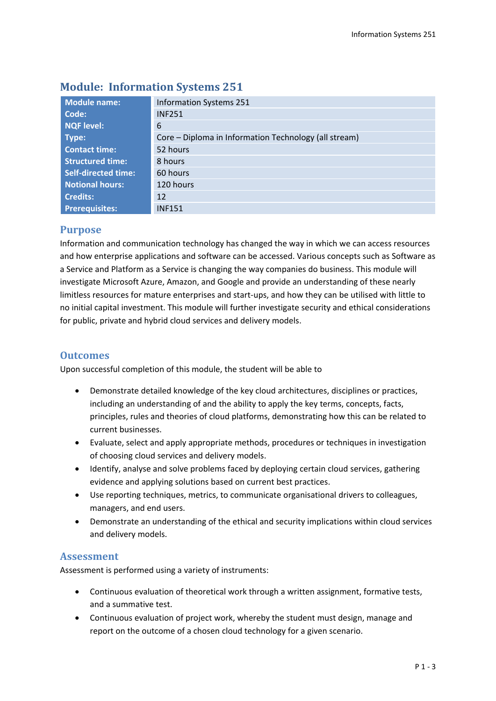| <b>Module name:</b>        | <b>Information Systems 251</b>                        |  |  |  |
|----------------------------|-------------------------------------------------------|--|--|--|
| Code:                      | <b>INF251</b>                                         |  |  |  |
| <b>NQF level:</b>          | 6                                                     |  |  |  |
| Type:                      | Core – Diploma in Information Technology (all stream) |  |  |  |
| <b>Contact time:</b>       | 52 hours                                              |  |  |  |
| <b>Structured time:</b>    | 8 hours                                               |  |  |  |
| <b>Self-directed time:</b> | 60 hours                                              |  |  |  |
| <b>Notional hours:</b>     | 120 hours                                             |  |  |  |
| <b>Credits:</b>            | 12                                                    |  |  |  |
| <b>Prerequisites:</b>      | <b>INF151</b>                                         |  |  |  |

# **Module: Information Systems 251**

### **Purpose**

Information and communication technology has changed the way in which we can access resources and how enterprise applications and software can be accessed. Various concepts such as Software as a Service and Platform as a Service is changing the way companies do business. This module will investigate Microsoft Azure, Amazon, and Google and provide an understanding of these nearly limitless resources for mature enterprises and start-ups, and how they can be utilised with little to no initial capital investment. This module will further investigate security and ethical considerations for public, private and hybrid cloud services and delivery models.

## **Outcomes**

Upon successful completion of this module, the student will be able to

- Demonstrate detailed knowledge of the key cloud architectures, disciplines or practices, including an understanding of and the ability to apply the key terms, concepts, facts, principles, rules and theories of cloud platforms, demonstrating how this can be related to current businesses.
- Evaluate, select and apply appropriate methods, procedures or techniques in investigation of choosing cloud services and delivery models.
- Identify, analyse and solve problems faced by deploying certain cloud services, gathering evidence and applying solutions based on current best practices.
- Use reporting techniques, metrics, to communicate organisational drivers to colleagues, managers, and end users.
- Demonstrate an understanding of the ethical and security implications within cloud services and delivery models.

## **Assessment**

Assessment is performed using a variety of instruments:

- Continuous evaluation of theoretical work through a written assignment, formative tests, and a summative test.
- Continuous evaluation of project work, whereby the student must design, manage and report on the outcome of a chosen cloud technology for a given scenario.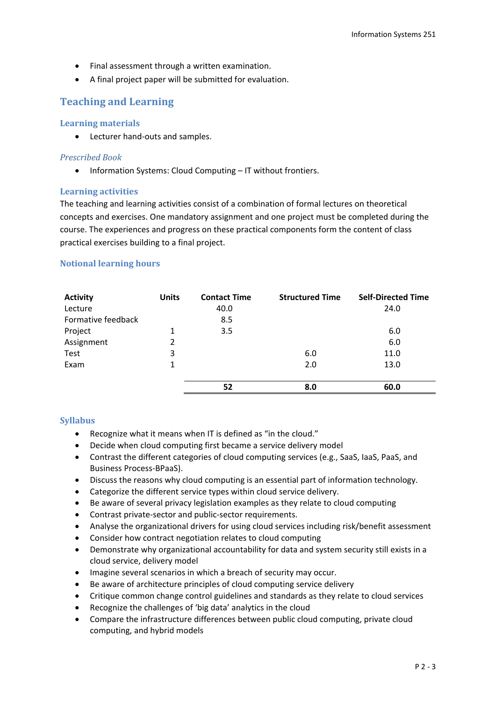- Final assessment through a written examination.
- A final project paper will be submitted for evaluation.

### **Teaching and Learning**

#### **Learning materials**

Lecturer hand-outs and samples.

#### *Prescribed Book*

• Information Systems: Cloud Computing – IT without frontiers.

#### **Learning activities**

The teaching and learning activities consist of a combination of formal lectures on theoretical concepts and exercises. One mandatory assignment and one project must be completed during the course. The experiences and progress on these practical components form the content of class practical exercises building to a final project.

#### **Notional learning hours**

| <b>Activity</b>    | <b>Units</b> | <b>Contact Time</b> | <b>Structured Time</b> | <b>Self-Directed Time</b> |
|--------------------|--------------|---------------------|------------------------|---------------------------|
| Lecture            |              | 40.0                |                        | 24.0                      |
| Formative feedback |              | 8.5                 |                        |                           |
| Project            | 1            | 3.5                 |                        | 6.0                       |
| Assignment         | 2            |                     |                        | 6.0                       |
| Test               | 3            |                     | 6.0                    | 11.0                      |
| Exam               | $\mathbf{1}$ |                     | 2.0                    | 13.0                      |
|                    |              |                     |                        |                           |
|                    |              | 52                  | 8.0                    | 60.0                      |

### **Syllabus**

- Recognize what it means when IT is defined as "in the cloud."
- Decide when cloud computing first became a service delivery model
- Contrast the different categories of cloud computing services (e.g., SaaS, IaaS, PaaS, and Business Process-BPaaS).
- Discuss the reasons why cloud computing is an essential part of information technology.
- Categorize the different service types within cloud service delivery.
- Be aware of several privacy legislation examples as they relate to cloud computing
- Contrast private-sector and public-sector requirements.
- Analyse the organizational drivers for using cloud services including risk/benefit assessment
- Consider how contract negotiation relates to cloud computing
- Demonstrate why organizational accountability for data and system security still exists in a cloud service, delivery model
- Imagine several scenarios in which a breach of security may occur.
- Be aware of architecture principles of cloud computing service delivery
- Critique common change control guidelines and standards as they relate to cloud services
- Recognize the challenges of 'big data' analytics in the cloud
- Compare the infrastructure differences between public cloud computing, private cloud computing, and hybrid models